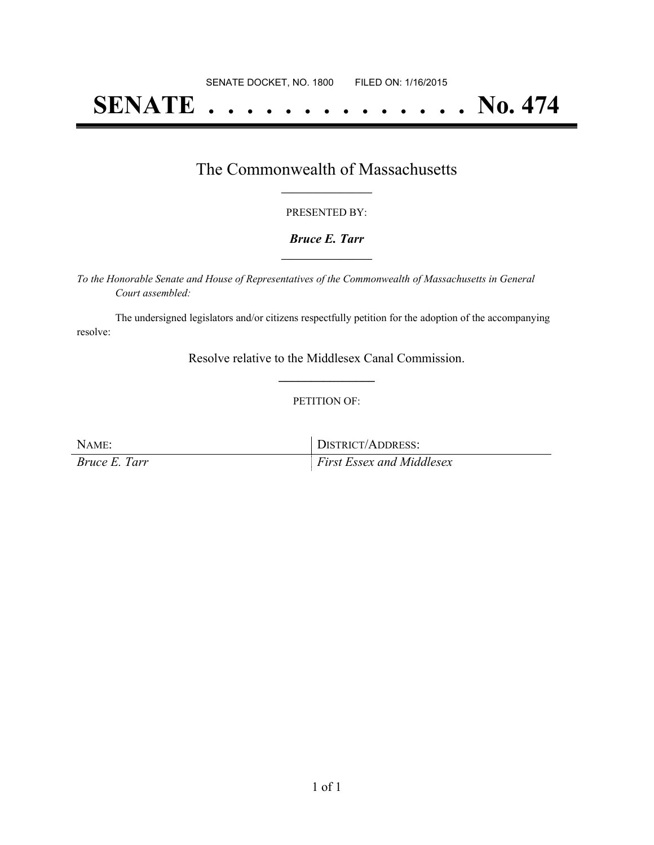# **SENATE . . . . . . . . . . . . . . No. 474**

## The Commonwealth of Massachusetts **\_\_\_\_\_\_\_\_\_\_\_\_\_\_\_\_\_**

#### PRESENTED BY:

#### *Bruce E. Tarr* **\_\_\_\_\_\_\_\_\_\_\_\_\_\_\_\_\_**

*To the Honorable Senate and House of Representatives of the Commonwealth of Massachusetts in General Court assembled:*

The undersigned legislators and/or citizens respectfully petition for the adoption of the accompanying resolve:

> Resolve relative to the Middlesex Canal Commission. **\_\_\_\_\_\_\_\_\_\_\_\_\_\_\_**

#### PETITION OF:

NAME: DISTRICT/ADDRESS: *Bruce E. Tarr First Essex and Middlesex*